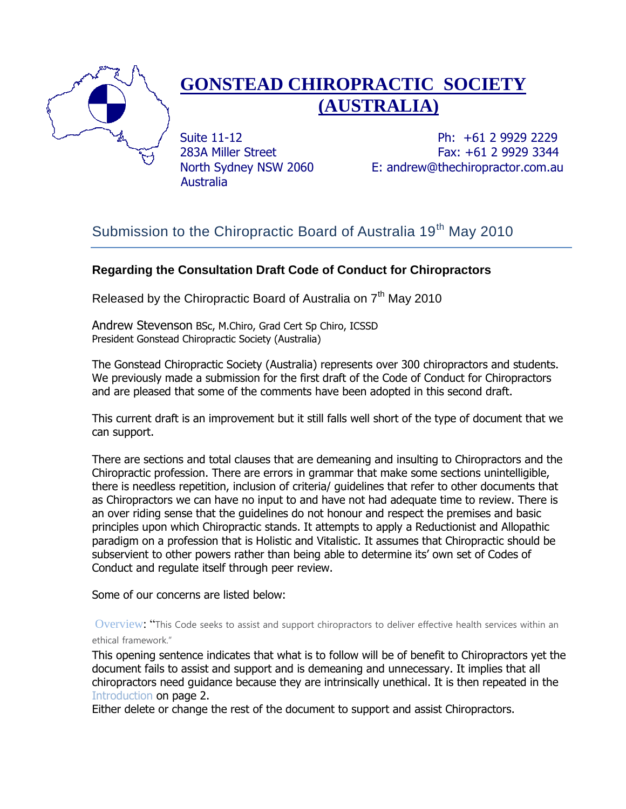

# **GONSTEAD CHIROPRACTIC SOCIETY (AUSTRALIA)**

Australia

Suite 11-12 **Ph: +61 2 9929 2229** 283A Miller Street Fax: +61 2 9929 3344 North Sydney NSW 2060 E: andrew@thechiropractor.com.au

## Submission to the Chiropractic Board of Australia 19<sup>th</sup> May 2010

## **Regarding the Consultation Draft Code of Conduct for Chiropractors**

Released by the Chiropractic Board of Australia on  $7<sup>th</sup>$  May 2010

Andrew Stevenson BSc, M.Chiro, Grad Cert Sp Chiro, ICSSD President Gonstead Chiropractic Society (Australia)

The Gonstead Chiropractic Society (Australia) represents over 300 chiropractors and students. We previously made a submission for the first draft of the Code of Conduct for Chiropractors and are pleased that some of the comments have been adopted in this second draft.

This current draft is an improvement but it still falls well short of the type of document that we can support.

There are sections and total clauses that are demeaning and insulting to Chiropractors and the Chiropractic profession. There are errors in grammar that make some sections unintelligible, there is needless repetition, inclusion of criteria/ guidelines that refer to other documents that as Chiropractors we can have no input to and have not had adequate time to review. There is an over riding sense that the guidelines do not honour and respect the premises and basic principles upon which Chiropractic stands. It attempts to apply a Reductionist and Allopathic paradigm on a profession that is Holistic and Vitalistic. It assumes that Chiropractic should be subservient to other powers rather than being able to determine its' own set of Codes of Conduct and regulate itself through peer review.

Some of our concerns are listed below:

Overview: "This Code seeks to assist and support chiropractors to deliver effective health services within an ethical framework."

This opening sentence indicates that what is to follow will be of benefit to Chiropractors yet the document fails to assist and support and is demeaning and unnecessary. It implies that all chiropractors need guidance because they are intrinsically unethical. It is then repeated in the Introduction on page 2.

Either delete or change the rest of the document to support and assist Chiropractors.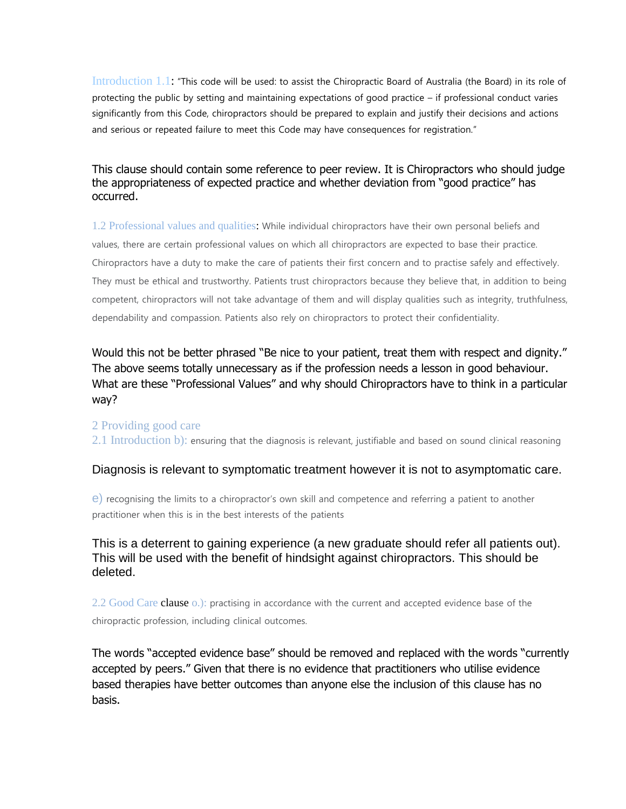Introduction 1.1: "This code will be used: to assist the Chiropractic Board of Australia (the Board) in its role of protecting the public by setting and maintaining expectations of good practice – if professional conduct varies significantly from this Code, chiropractors should be prepared to explain and justify their decisions and actions and serious or repeated failure to meet this Code may have consequences for registration."

## This clause should contain some reference to peer review. It is Chiropractors who should judge the appropriateness of expected practice and whether deviation from "good practice" has occurred.

1.2 Professional values and qualities: While individual chiropractors have their own personal beliefs and values, there are certain professional values on which all chiropractors are expected to base their practice. Chiropractors have a duty to make the care of patients their first concern and to practise safely and effectively. They must be ethical and trustworthy. Patients trust chiropractors because they believe that, in addition to being competent, chiropractors will not take advantage of them and will display qualities such as integrity, truthfulness, dependability and compassion. Patients also rely on chiropractors to protect their confidentiality.

## Would this not be better phrased "Be nice to your patient, treat them with respect and dignity." The above seems totally unnecessary as if the profession needs a lesson in good behaviour. What are these "Professional Values" and why should Chiropractors have to think in a particular way?

#### 2 Providing good care

2.1 Introduction b): ensuring that the diagnosis is relevant, justifiable and based on sound clinical reasoning

#### Diagnosis is relevant to symptomatic treatment however it is not to asymptomatic care.

e) recognising the limits to a chiropractor's own skill and competence and referring a patient to another practitioner when this is in the best interests of the patients

## This is a deterrent to gaining experience (a new graduate should refer all patients out). This will be used with the benefit of hindsight against chiropractors. This should be deleted.

2.2 Good Care clause o.): practising in accordance with the current and accepted evidence base of the chiropractic profession, including clinical outcomes.

The words "accepted evidence base" should be removed and replaced with the words "currently accepted by peers." Given that there is no evidence that practitioners who utilise evidence based therapies have better outcomes than anyone else the inclusion of this clause has no basis.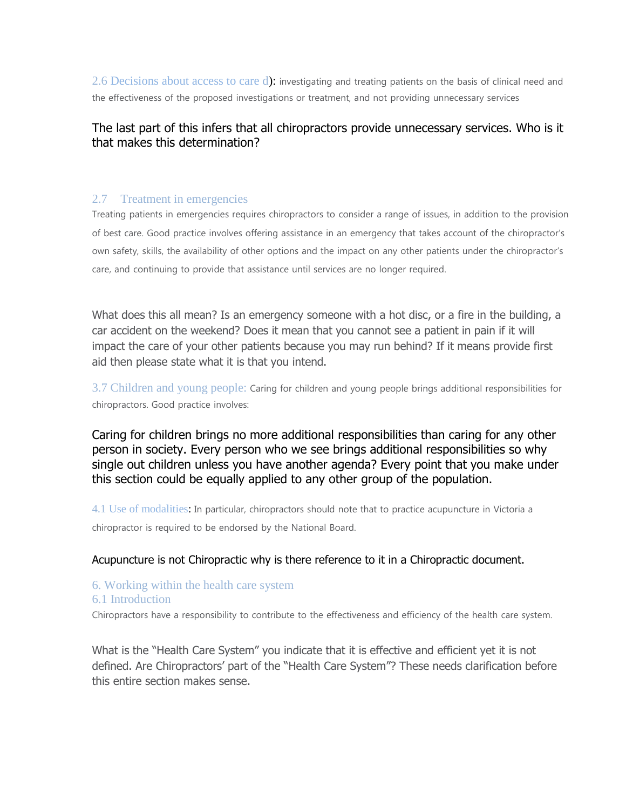2.6 Decisions about access to care d): investigating and treating patients on the basis of clinical need and the effectiveness of the proposed investigations or treatment, and not providing unnecessary services

## The last part of this infers that all chiropractors provide unnecessary services. Who is it that makes this determination?

#### 2.7 Treatment in emergencies

Treating patients in emergencies requires chiropractors to consider a range of issues, in addition to the provision of best care. Good practice involves offering assistance in an emergency that takes account of the chiropractor's own safety, skills, the availability of other options and the impact on any other patients under the chiropractor's care, and continuing to provide that assistance until services are no longer required.

What does this all mean? Is an emergency someone with a hot disc, or a fire in the building, a car accident on the weekend? Does it mean that you cannot see a patient in pain if it will impact the care of your other patients because you may run behind? If it means provide first aid then please state what it is that you intend.

3.7 Children and young people: Caring for children and young people brings additional responsibilities for chiropractors. Good practice involves:

Caring for children brings no more additional responsibilities than caring for any other person in society. Every person who we see brings additional responsibilities so why single out children unless you have another agenda? Every point that you make under this section could be equally applied to any other group of the population.

4.1 Use of modalities: In particular, chiropractors should note that to practice acupuncture in Victoria a chiropractor is required to be endorsed by the National Board.

#### Acupuncture is not Chiropractic why is there reference to it in a Chiropractic document.

#### 6. Working within the health care system

#### 6.1 Introduction

Chiropractors have a responsibility to contribute to the effectiveness and efficiency of the health care system.

What is the "Health Care System" you indicate that it is effective and efficient yet it is not defined. Are Chiropractors' part of the "Health Care System"? These needs clarification before this entire section makes sense.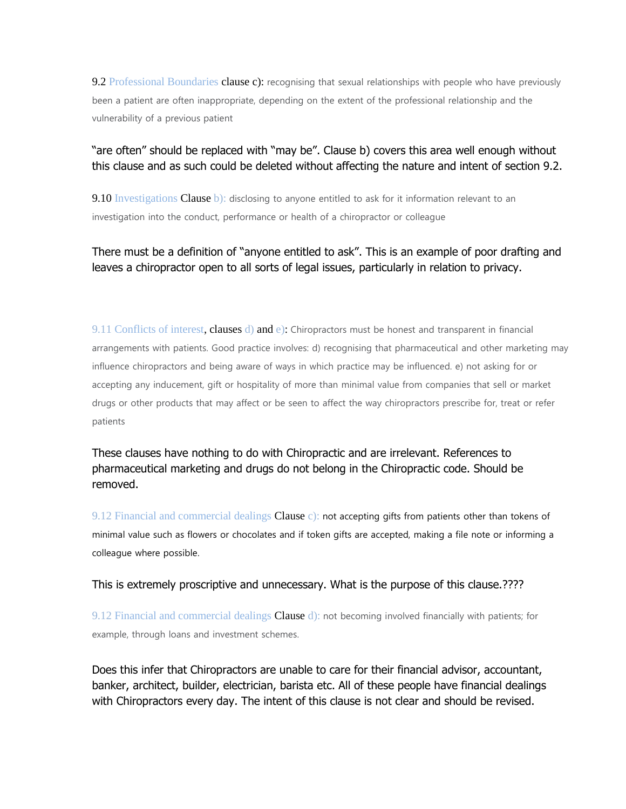9.2 Professional Boundaries clause c): recognising that sexual relationships with people who have previously been a patient are often inappropriate, depending on the extent of the professional relationship and the vulnerability of a previous patient

## "are often" should be replaced with "may be". Clause b) covers this area well enough without this clause and as such could be deleted without affecting the nature and intent of section 9.2.

9.10 Investigations Clause  $\mathbf{b}$ ): disclosing to anyone entitled to ask for it information relevant to an investigation into the conduct, performance or health of a chiropractor or colleague

## There must be a definition of "anyone entitled to ask". This is an example of poor drafting and leaves a chiropractor open to all sorts of legal issues, particularly in relation to privacy.

9.11 Conflicts of interest, clauses d) and e): Chiropractors must be honest and transparent in financial arrangements with patients. Good practice involves: d) recognising that pharmaceutical and other marketing may influence chiropractors and being aware of ways in which practice may be influenced. e) not asking for or accepting any inducement, gift or hospitality of more than minimal value from companies that sell or market drugs or other products that may affect or be seen to affect the way chiropractors prescribe for, treat or refer patients

These clauses have nothing to do with Chiropractic and are irrelevant. References to pharmaceutical marketing and drugs do not belong in the Chiropractic code. Should be removed.

9.12 Financial and commercial dealings Clause  $c$ ): not accepting gifts from patients other than tokens of minimal value such as flowers or chocolates and if token gifts are accepted, making a file note or informing a colleague where possible.

This is extremely proscriptive and unnecessary. What is the purpose of this clause.????

9.12 Financial and commercial dealings Clause d): not becoming involved financially with patients; for example, through loans and investment schemes.

Does this infer that Chiropractors are unable to care for their financial advisor, accountant, banker, architect, builder, electrician, barista etc. All of these people have financial dealings with Chiropractors every day. The intent of this clause is not clear and should be revised.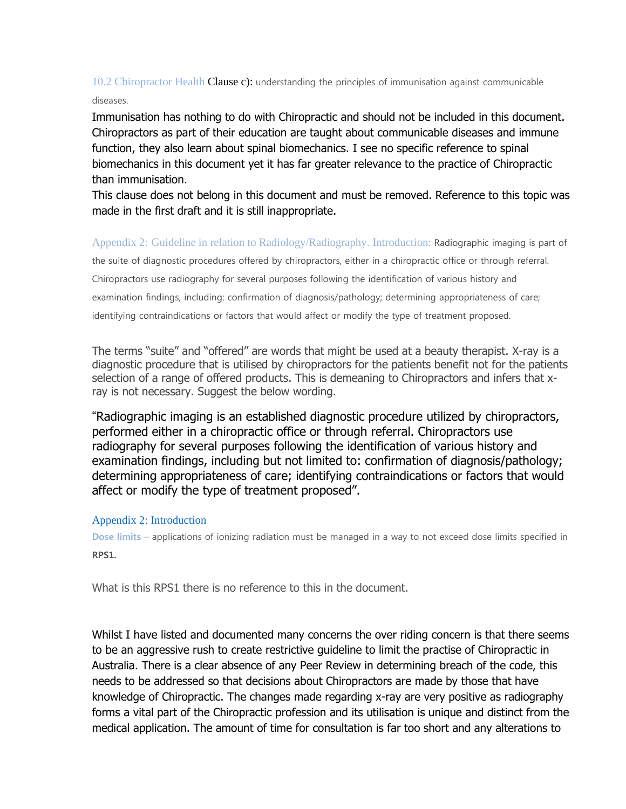10.2 Chiropractor Health Clause c): understanding the principles of immunisation against communicable diseases.

Immunisation has nothing to do with Chiropractic and should not be included in this document. Chiropractors as part of their education are taught about communicable diseases and immune function, they also learn about spinal biomechanics. I see no specific reference to spinal biomechanics in this document yet it has far greater relevance to the practice of Chiropractic than immunisation.

This clause does not belong in this document and must be removed. Reference to this topic was made in the first draft and it is still inappropriate.

Appendix 2: Guideline in relation to Radiology/Radiography. Introduction: Radiographic imaging is part of

the suite of diagnostic procedures offered by chiropractors, either in a chiropractic office or through referral. Chiropractors use radiography for several purposes following the identification of various history and examination findings, including: confirmation of diagnosis/pathology; determining appropriateness of care; identifying contraindications or factors that would affect or modify the type of treatment proposed.

The terms "suite" and "offered" are words that might be used at a beauty therapist. X-ray is a diagnostic procedure that is utilised by chiropractors for the patients benefit not for the patients selection of a range of offered products. This is demeaning to Chiropractors and infers that xray is not necessary. Suggest the below wording.

"Radiographic imaging is an established diagnostic procedure utilized by chiropractors, performed either in a chiropractic office or through referral. Chiropractors use radiography for several purposes following the identification of various history and examination findings, including but not limited to: confirmation of diagnosis/pathology; determining appropriateness of care; identifying contraindications or factors that would affect or modify the type of treatment proposed".

#### Appendix 2: Introduction

**Dose limits** – applications of ionizing radiation must be managed in a way to not exceed dose limits specified in **RPS1.**

What is this RPS1 there is no reference to this in the document.

Whilst I have listed and documented many concerns the over riding concern is that there seems to be an aggressive rush to create restrictive guideline to limit the practise of Chiropractic in Australia. There is a clear absence of any Peer Review in determining breach of the code, this needs to be addressed so that decisions about Chiropractors are made by those that have knowledge of Chiropractic. The changes made regarding x-ray are very positive as radiography forms a vital part of the Chiropractic profession and its utilisation is unique and distinct from the medical application. The amount of time for consultation is far too short and any alterations to